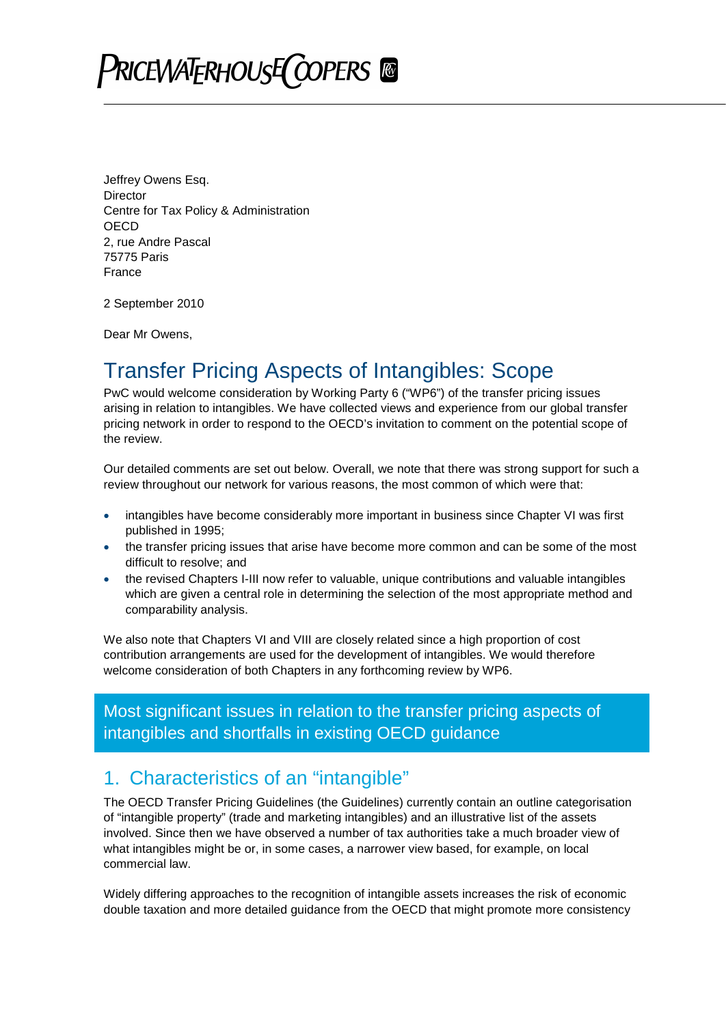# **PRICEWATERHOUSE COPERS**

Jeffrey Owens Esq. **Director** Centre for Tax Policy & Administration **OECD** 2, rue Andre Pascal 75775 Paris France

2 September 2010

Dear Mr Owens,

### Transfer Pricing Aspects of Intangibles: Scope

PwC would welcome consideration by Working Party 6 ("WP6") of the transfer pricing issues arising in relation to intangibles. We have collected views and experience from our global transfer pricing network in order to respond to the OECD's invitation to comment on the potential scope of the review.

Our detailed comments are set out below. Overall, we note that there was strong support for such a review throughout our network for various reasons, the most common of which were that:

- intangibles have become considerably more important in business since Chapter VI was first published in 1995;
- the transfer pricing issues that arise have become more common and can be some of the most difficult to resolve; and
- the revised Chapters I-III now refer to valuable, unique contributions and valuable intangibles which are given a central role in determining the selection of the most appropriate method and comparability analysis.

We also note that Chapters VI and VIII are closely related since a high proportion of cost contribution arrangements are used for the development of intangibles. We would therefore welcome consideration of both Chapters in any forthcoming review by WP6.

Most significant issues in relation to the transfer pricing aspects of intangibles and shortfalls in existing OECD guidance

#### 1. Characteristics of an "intangible"

The OECD Transfer Pricing Guidelines (the Guidelines) currently contain an outline categorisation of "intangible property" (trade and marketing intangibles) and an illustrative list of the assets involved. Since then we have observed a number of tax authorities take a much broader view of what intangibles might be or, in some cases, a narrower view based, for example, on local commercial law.

Widely differing approaches to the recognition of intangible assets increases the risk of economic double taxation and more detailed guidance from the OECD that might promote more consistency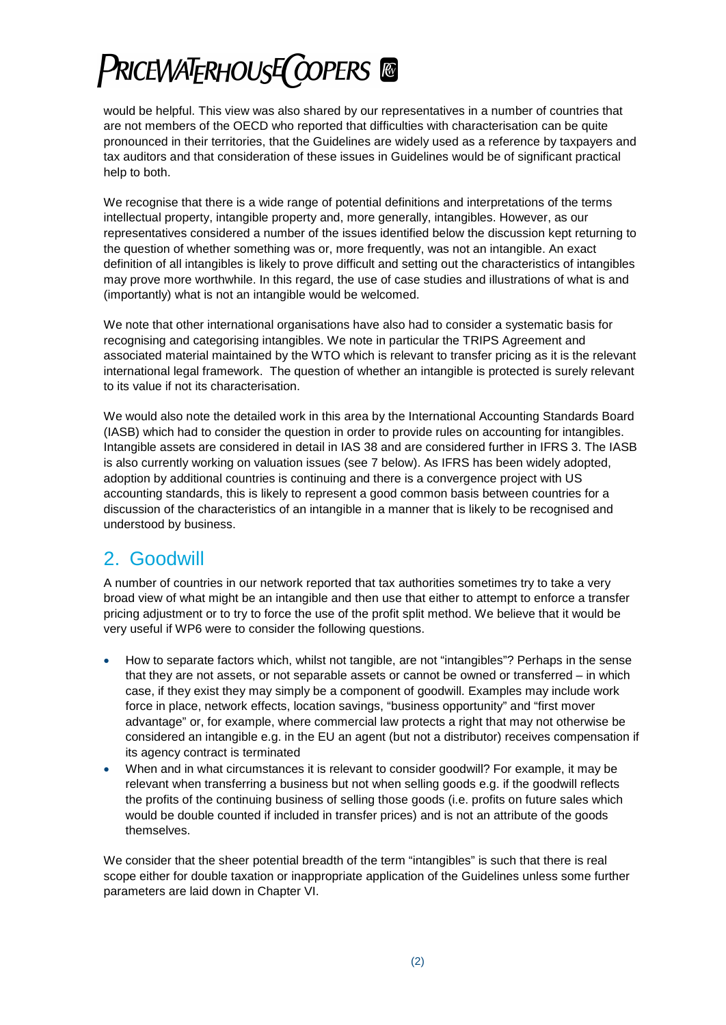# **PRICEWATERHOUSE COPERS ®**

would be helpful. This view was also shared by our representatives in a number of countries that are not members of the OECD who reported that difficulties with characterisation can be quite pronounced in their territories, that the Guidelines are widely used as a reference by taxpayers and tax auditors and that consideration of these issues in Guidelines would be of significant practical help to both.

We recognise that there is a wide range of potential definitions and interpretations of the terms intellectual property, intangible property and, more generally, intangibles. However, as our representatives considered a number of the issues identified below the discussion kept returning to the question of whether something was or, more frequently, was not an intangible. An exact definition of all intangibles is likely to prove difficult and setting out the characteristics of intangibles may prove more worthwhile. In this regard, the use of case studies and illustrations of what is and (importantly) what is not an intangible would be welcomed.

We note that other international organisations have also had to consider a systematic basis for recognising and categorising intangibles. We note in particular the TRIPS Agreement and associated material maintained by the WTO which is relevant to transfer pricing as it is the relevant international legal framework. The question of whether an intangible is protected is surely relevant to its value if not its characterisation.

We would also note the detailed work in this area by the International Accounting Standards Board (IASB) which had to consider the question in order to provide rules on accounting for intangibles. Intangible assets are considered in detail in IAS 38 and are considered further in IFRS 3. The IASB is also currently working on valuation issues (see 7 below). As IFRS has been widely adopted, adoption by additional countries is continuing and there is a convergence project with US accounting standards, this is likely to represent a good common basis between countries for a discussion of the characteristics of an intangible in a manner that is likely to be recognised and understood by business.

### 2. Goodwill

A number of countries in our network reported that tax authorities sometimes try to take a very broad view of what might be an intangible and then use that either to attempt to enforce a transfer pricing adjustment or to try to force the use of the profit split method. We believe that it would be very useful if WP6 were to consider the following questions.

- How to separate factors which, whilst not tangible, are not "intangibles"? Perhaps in the sense that they are not assets, or not separable assets or cannot be owned or transferred – in which case, if they exist they may simply be a component of goodwill. Examples may include work force in place, network effects, location savings, "business opportunity" and "first mover advantage" or, for example, where commercial law protects a right that may not otherwise be considered an intangible e.g. in the EU an agent (but not a distributor) receives compensation if its agency contract is terminated
- When and in what circumstances it is relevant to consider goodwill? For example, it may be relevant when transferring a business but not when selling goods e.g. if the goodwill reflects the profits of the continuing business of selling those goods (i.e. profits on future sales which would be double counted if included in transfer prices) and is not an attribute of the goods themselves.

We consider that the sheer potential breadth of the term "intangibles" is such that there is real scope either for double taxation or inappropriate application of the Guidelines unless some further parameters are laid down in Chapter VI.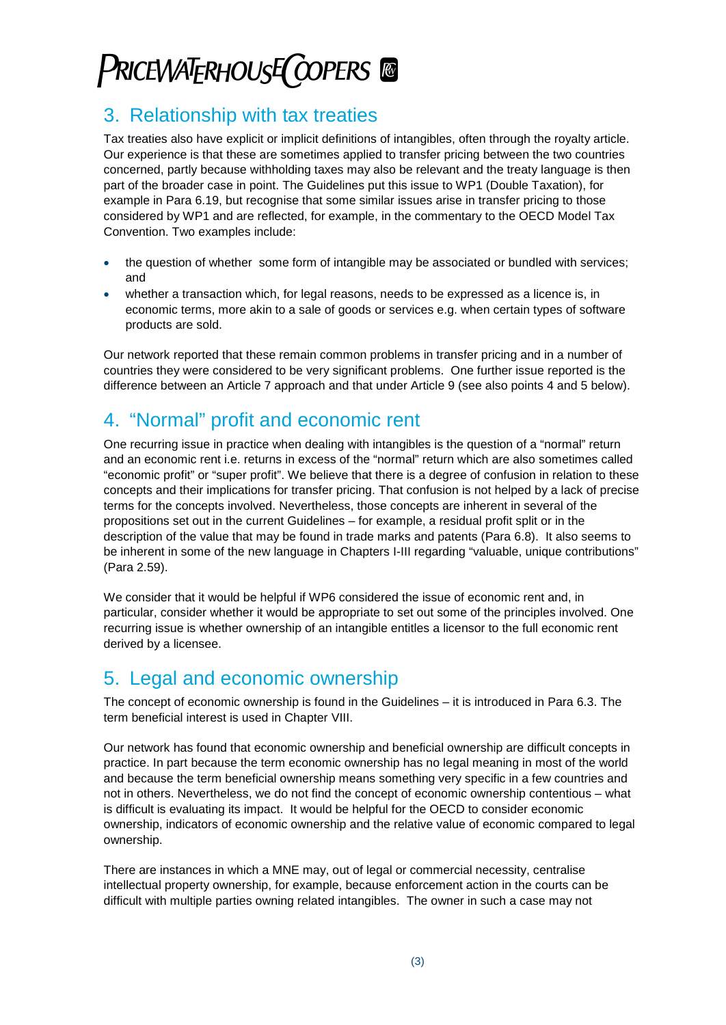## **PRICEWATERHOUSE COPERS**

### 3. Relationship with tax treaties

Tax treaties also have explicit or implicit definitions of intangibles, often through the royalty article. Our experience is that these are sometimes applied to transfer pricing between the two countries concerned, partly because withholding taxes may also be relevant and the treaty language is then part of the broader case in point. The Guidelines put this issue to WP1 (Double Taxation), for example in Para 6.19, but recognise that some similar issues arise in transfer pricing to those considered by WP1 and are reflected, for example, in the commentary to the OECD Model Tax Convention. Two examples include:

- the question of whether some form of intangible may be associated or bundled with services; and
- whether a transaction which, for legal reasons, needs to be expressed as a licence is, in economic terms, more akin to a sale of goods or services e.g. when certain types of software products are sold.

Our network reported that these remain common problems in transfer pricing and in a number of countries they were considered to be very significant problems. One further issue reported is the difference between an Article 7 approach and that under Article 9 (see also points 4 and 5 below).

### 4. "Normal" profit and economic rent

One recurring issue in practice when dealing with intangibles is the question of a "normal" return and an economic rent i.e. returns in excess of the "normal" return which are also sometimes called "economic profit" or "super profit". We believe that there is a degree of confusion in relation to these concepts and their implications for transfer pricing. That confusion is not helped by a lack of precise terms for the concepts involved. Nevertheless, those concepts are inherent in several of the propositions set out in the current Guidelines – for example, a residual profit split or in the description of the value that may be found in trade marks and patents (Para 6.8). It also seems to be inherent in some of the new language in Chapters I-III regarding "valuable, unique contributions" (Para 2.59).

We consider that it would be helpful if WP6 considered the issue of economic rent and, in particular, consider whether it would be appropriate to set out some of the principles involved. One recurring issue is whether ownership of an intangible entitles a licensor to the full economic rent derived by a licensee.

#### 5. Legal and economic ownership

The concept of economic ownership is found in the Guidelines – it is introduced in Para 6.3. The term beneficial interest is used in Chapter VIII.

Our network has found that economic ownership and beneficial ownership are difficult concepts in practice. In part because the term economic ownership has no legal meaning in most of the world and because the term beneficial ownership means something very specific in a few countries and not in others. Nevertheless, we do not find the concept of economic ownership contentious – what is difficult is evaluating its impact. It would be helpful for the OECD to consider economic ownership, indicators of economic ownership and the relative value of economic compared to legal ownership.

There are instances in which a MNE may, out of legal or commercial necessity, centralise intellectual property ownership, for example, because enforcement action in the courts can be difficult with multiple parties owning related intangibles. The owner in such a case may not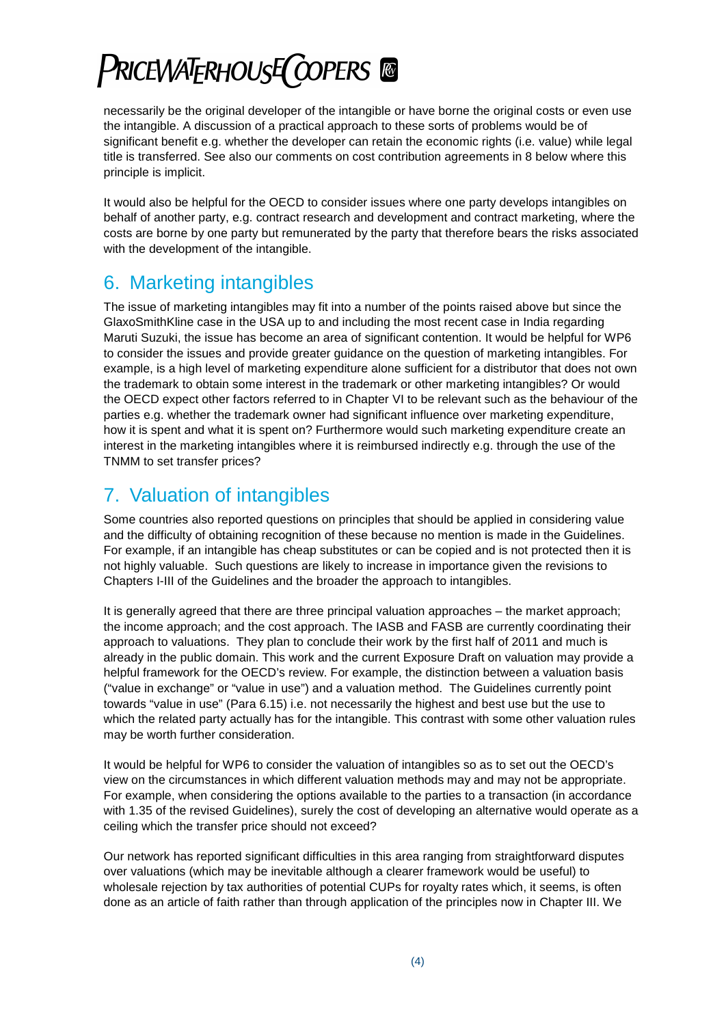# **PRICEWATERHOUSE COPERS ®**

necessarily be the original developer of the intangible or have borne the original costs or even use the intangible. A discussion of a practical approach to these sorts of problems would be of significant benefit e.g. whether the developer can retain the economic rights (i.e. value) while legal title is transferred. See also our comments on cost contribution agreements in 8 below where this principle is implicit.

It would also be helpful for the OECD to consider issues where one party develops intangibles on behalf of another party, e.g. contract research and development and contract marketing, where the costs are borne by one party but remunerated by the party that therefore bears the risks associated with the development of the intangible.

#### 6. Marketing intangibles

The issue of marketing intangibles may fit into a number of the points raised above but since the GlaxoSmithKline case in the USA up to and including the most recent case in India regarding Maruti Suzuki, the issue has become an area of significant contention. It would be helpful for WP6 to consider the issues and provide greater guidance on the question of marketing intangibles. For example, is a high level of marketing expenditure alone sufficient for a distributor that does not own the trademark to obtain some interest in the trademark or other marketing intangibles? Or would the OECD expect other factors referred to in Chapter VI to be relevant such as the behaviour of the parties e.g. whether the trademark owner had significant influence over marketing expenditure, how it is spent and what it is spent on? Furthermore would such marketing expenditure create an interest in the marketing intangibles where it is reimbursed indirectly e.g. through the use of the TNMM to set transfer prices?

### 7. Valuation of intangibles

Some countries also reported questions on principles that should be applied in considering value and the difficulty of obtaining recognition of these because no mention is made in the Guidelines. For example, if an intangible has cheap substitutes or can be copied and is not protected then it is not highly valuable. Such questions are likely to increase in importance given the revisions to Chapters I-III of the Guidelines and the broader the approach to intangibles.

It is generally agreed that there are three principal valuation approaches – the market approach; the income approach; and the cost approach. The IASB and FASB are currently coordinating their approach to valuations. They plan to conclude their work by the first half of 2011 and much is already in the public domain. This work and the current Exposure Draft on valuation may provide a helpful framework for the OECD's review. For example, the distinction between a valuation basis ("value in exchange" or "value in use") and a valuation method. The Guidelines currently point towards "value in use" (Para 6.15) i.e. not necessarily the highest and best use but the use to which the related party actually has for the intangible. This contrast with some other valuation rules may be worth further consideration.

It would be helpful for WP6 to consider the valuation of intangibles so as to set out the OECD's view on the circumstances in which different valuation methods may and may not be appropriate. For example, when considering the options available to the parties to a transaction (in accordance with 1.35 of the revised Guidelines), surely the cost of developing an alternative would operate as a ceiling which the transfer price should not exceed?

Our network has reported significant difficulties in this area ranging from straightforward disputes over valuations (which may be inevitable although a clearer framework would be useful) to wholesale rejection by tax authorities of potential CUPs for royalty rates which, it seems, is often done as an article of faith rather than through application of the principles now in Chapter III. We